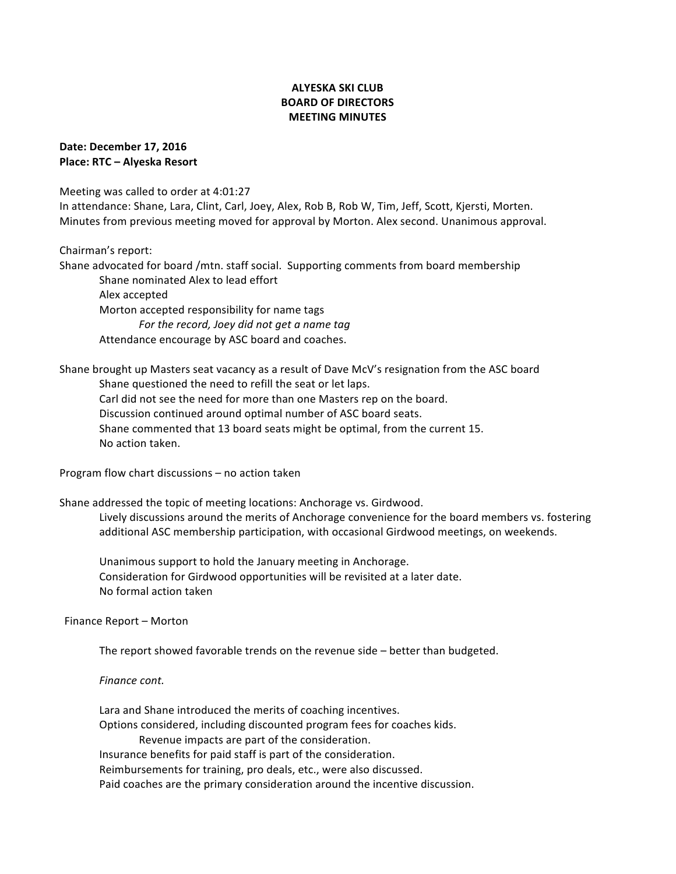# **ALYESKA SKI CLUB BOARD OF DIRECTORS MEETING MINUTES**

**Date: December 17, 2016 Place: RTC – Alyeska Resort** 

Meeting was called to order at 4:01:27

In attendance: Shane, Lara, Clint, Carl, Joey, Alex, Rob B, Rob W, Tim, Jeff, Scott, Kjersti, Morten. Minutes from previous meeting moved for approval by Morton. Alex second. Unanimous approval.

Chairman's report:

Shane advocated for board /mtn. staff social. Supporting comments from board membership Shane nominated Alex to lead effort Alex accepted Morton accepted responsibility for name tags *For the record, Joey did not get a name tag* Attendance encourage by ASC board and coaches.

Shane brought up Masters seat vacancy as a result of Dave McV's resignation from the ASC board Shane questioned the need to refill the seat or let laps. Carl did not see the need for more than one Masters rep on the board.

Discussion continued around optimal number of ASC board seats. Shane commented that 13 board seats might be optimal, from the current 15. No action taken.

Program flow chart discussions  $-$  no action taken

Shane addressed the topic of meeting locations: Anchorage vs. Girdwood. Lively discussions around the merits of Anchorage convenience for the board members vs. fostering additional ASC membership participation, with occasional Girdwood meetings, on weekends.

Unanimous support to hold the January meeting in Anchorage. Consideration for Girdwood opportunities will be revisited at a later date. No formal action taken

Finance Report - Morton

The report showed favorable trends on the revenue side  $-$  better than budgeted.

*Finance cont.*

Lara and Shane introduced the merits of coaching incentives. Options considered, including discounted program fees for coaches kids. Revenue impacts are part of the consideration.

Insurance benefits for paid staff is part of the consideration.

Reimbursements for training, pro deals, etc., were also discussed.

Paid coaches are the primary consideration around the incentive discussion.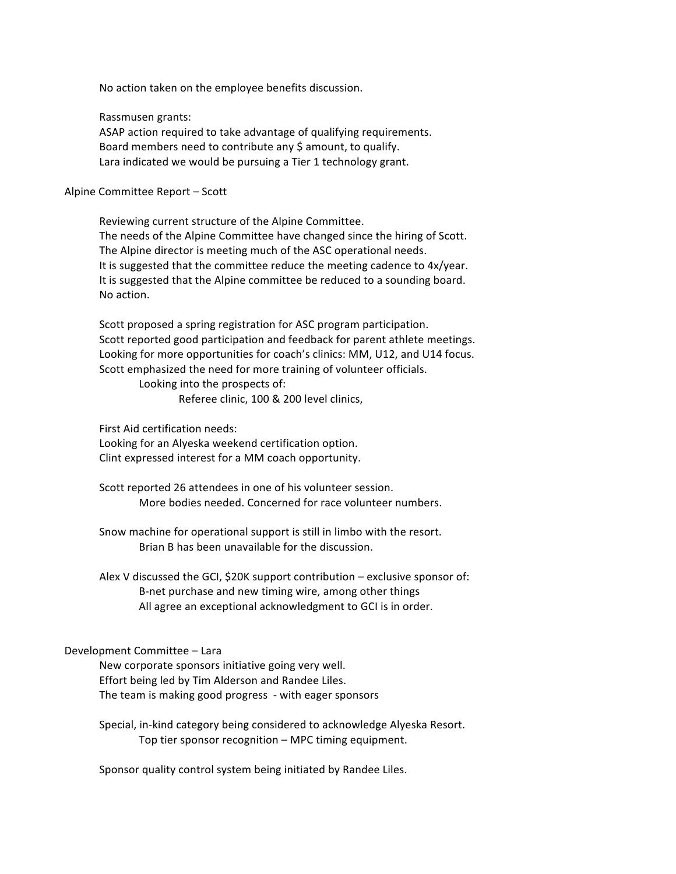No action taken on the employee benefits discussion.

Rassmusen grants:

ASAP action required to take advantage of qualifying requirements. Board members need to contribute any \$ amount, to qualify. Lara indicated we would be pursuing a Tier 1 technology grant.

#### Alpine Committee Report - Scott

Reviewing current structure of the Alpine Committee. The needs of the Alpine Committee have changed since the hiring of Scott. The Alpine director is meeting much of the ASC operational needs. It is suggested that the committee reduce the meeting cadence to 4x/year. It is suggested that the Alpine committee be reduced to a sounding board. No action.

Scott proposed a spring registration for ASC program participation. Scott reported good participation and feedback for parent athlete meetings. Looking for more opportunities for coach's clinics: MM, U12, and U14 focus. Scott emphasized the need for more training of volunteer officials.

> Looking into the prospects of: Referee clinic, 100 & 200 level clinics,

First Aid certification needs:

Looking for an Alyeska weekend certification option. Clint expressed interest for a MM coach opportunity.

Scott reported 26 attendees in one of his volunteer session. More bodies needed. Concerned for race volunteer numbers.

Snow machine for operational support is still in limbo with the resort. Brian B has been unavailable for the discussion.

Alex V discussed the GCI, \$20K support contribution  $-$  exclusive sponsor of: B-net purchase and new timing wire, among other things All agree an exceptional acknowledgment to GCI is in order.

### Development Committee - Lara

New corporate sponsors initiative going very well. Effort being led by Tim Alderson and Randee Liles. The team is making good progress - with eager sponsors

Special, in-kind category being considered to acknowledge Alyeska Resort. Top tier sponsor recognition - MPC timing equipment.

Sponsor quality control system being initiated by Randee Liles.